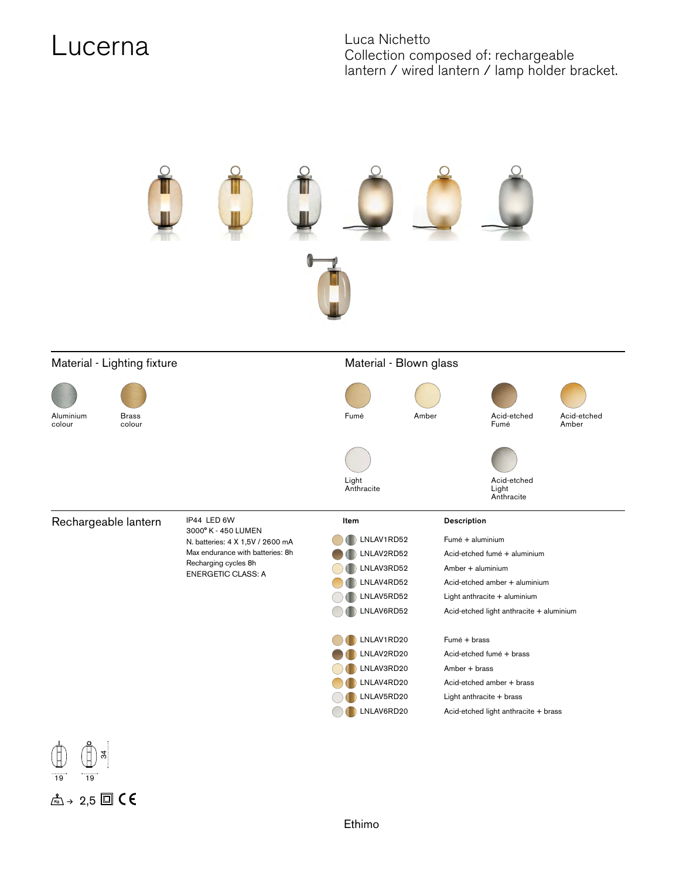## Lucerna Luca Nichetto

Collection composed of: rechargeable lantern / wired lantern / lamp holder bracket.



## Material - Lighting fixture **Material - Blown glass** Material - Blown glass



Aluminium colour